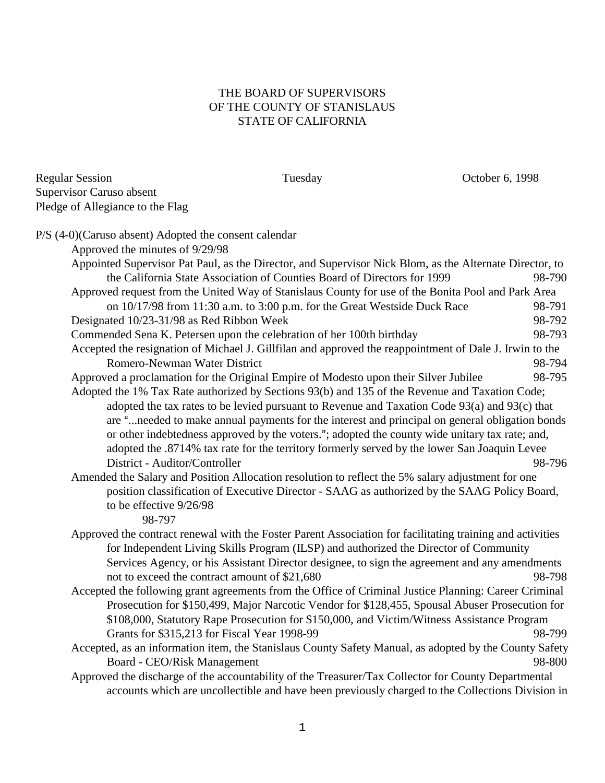## THE BOARD OF SUPERVISORS OF THE COUNTY OF STANISLAUS STATE OF CALIFORNIA

Tuesday Corober 6, 1998

| Regular Session                  |  |
|----------------------------------|--|
| Supervisor Caruso absent         |  |
| Pledge of Allegiance to the Flag |  |

| P/S (4-0)(Caruso absent) Adopted the consent calendar                                                                                                                                              |        |
|----------------------------------------------------------------------------------------------------------------------------------------------------------------------------------------------------|--------|
| Approved the minutes of 9/29/98                                                                                                                                                                    |        |
| Appointed Supervisor Pat Paul, as the Director, and Supervisor Nick Blom, as the Alternate Director, to                                                                                            |        |
| the California State Association of Counties Board of Directors for 1999                                                                                                                           | 98-790 |
| Approved request from the United Way of Stanislaus County for use of the Bonita Pool and Park Area                                                                                                 |        |
| on 10/17/98 from 11:30 a.m. to 3:00 p.m. for the Great Westside Duck Race                                                                                                                          | 98-791 |
| Designated 10/23-31/98 as Red Ribbon Week                                                                                                                                                          | 98-792 |
| Commended Sena K. Petersen upon the celebration of her 100th birthday                                                                                                                              | 98-793 |
| Accepted the resignation of Michael J. Gillfilan and approved the reappointment of Dale J. Irwin to the                                                                                            |        |
| Romero-Newman Water District                                                                                                                                                                       | 98-794 |
| Approved a proclamation for the Original Empire of Modesto upon their Silver Jubilee                                                                                                               | 98-795 |
| Adopted the 1% Tax Rate authorized by Sections 93(b) and 135 of the Revenue and Taxation Code;                                                                                                     |        |
| adopted the tax rates to be levied pursuant to Revenue and Taxation Code 93(a) and 93(c) that                                                                                                      |        |
| are "needed to make annual payments for the interest and principal on general obligation bonds                                                                                                     |        |
| or other indebtedness approved by the voters."; adopted the county wide unitary tax rate; and,                                                                                                     |        |
| adopted the .8714% tax rate for the territory formerly served by the lower San Joaquin Levee                                                                                                       |        |
| District - Auditor/Controller                                                                                                                                                                      | 98-796 |
| Amended the Salary and Position Allocation resolution to reflect the 5% salary adjustment for one                                                                                                  |        |
| position classification of Executive Director - SAAG as authorized by the SAAG Policy Board,                                                                                                       |        |
| to be effective 9/26/98<br>98-797                                                                                                                                                                  |        |
|                                                                                                                                                                                                    |        |
| Approved the contract renewal with the Foster Parent Association for facilitating training and activities<br>for Independent Living Skills Program (ILSP) and authorized the Director of Community |        |
| Services Agency, or his Assistant Director designee, to sign the agreement and any amendments                                                                                                      |        |
| not to exceed the contract amount of \$21,680                                                                                                                                                      | 98-798 |
| Accepted the following grant agreements from the Office of Criminal Justice Planning: Career Criminal                                                                                              |        |
| Prosecution for \$150,499, Major Narcotic Vendor for \$128,455, Spousal Abuser Prosecution for                                                                                                     |        |
| \$108,000, Statutory Rape Prosecution for \$150,000, and Victim/Witness Assistance Program                                                                                                         |        |
| Grants for \$315,213 for Fiscal Year 1998-99                                                                                                                                                       | 98-799 |
| Accepted, as an information item, the Stanislaus County Safety Manual, as adopted by the County Safety                                                                                             |        |
| Board - CEO/Risk Management                                                                                                                                                                        | 98-800 |
| Approved the discharge of the accountability of the Treasurer/Tax Collector for County Departmental                                                                                                |        |
| accounts which are uncollectible and have been previously charged to the Collections Division in                                                                                                   |        |
|                                                                                                                                                                                                    |        |
|                                                                                                                                                                                                    |        |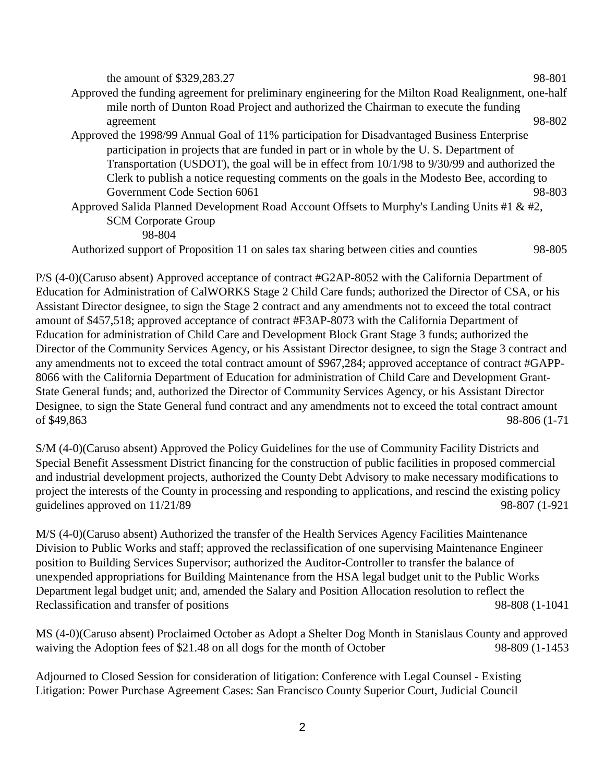| the amount of $$329,283.27$                                                                          | 98-801 |
|------------------------------------------------------------------------------------------------------|--------|
| Approved the funding agreement for preliminary engineering for the Milton Road Realignment, one-half |        |
| mile north of Dunton Road Project and authorized the Chairman to execute the funding                 |        |
| agreement                                                                                            | 98-802 |
| Approved the 1998/99 Annual Goal of 11% participation for Disadvantaged Business Enterprise          |        |
| participation in projects that are funded in part or in whole by the U.S. Department of              |        |
| Transportation (USDOT), the goal will be in effect from 10/1/98 to 9/30/99 and authorized the        |        |
| Clerk to publish a notice requesting comments on the goals in the Modesto Bee, according to          |        |
| Government Code Section 6061                                                                         | 98-803 |
| Approved Salida Planned Development Road Account Offsets to Murphy's Landing Units #1 & #2,          |        |
| <b>SCM Corporate Group</b>                                                                           |        |
| 98-804                                                                                               |        |
| Authorized support of Proposition 11 on sales tax sharing between cities and counties                | 98-805 |

P/S (4-0)(Caruso absent) Approved acceptance of contract #G2AP-8052 with the California Department of Education for Administration of CalWORKS Stage 2 Child Care funds; authorized the Director of CSA, or his Assistant Director designee, to sign the Stage 2 contract and any amendments not to exceed the total contract amount of \$457,518; approved acceptance of contract #F3AP-8073 with the California Department of Education for administration of Child Care and Development Block Grant Stage 3 funds; authorized the Director of the Community Services Agency, or his Assistant Director designee, to sign the Stage 3 contract and any amendments not to exceed the total contract amount of \$967,284; approved acceptance of contract #GAPP-8066 with the California Department of Education for administration of Child Care and Development Grant-State General funds; and, authorized the Director of Community Services Agency, or his Assistant Director Designee, to sign the State General fund contract and any amendments not to exceed the total contract amount of \$49,863 98-806 (1-71

S/M (4-0)(Caruso absent) Approved the Policy Guidelines for the use of Community Facility Districts and Special Benefit Assessment District financing for the construction of public facilities in proposed commercial and industrial development projects, authorized the County Debt Advisory to make necessary modifications to project the interests of the County in processing and responding to applications, and rescind the existing policy guidelines approved on 11/21/89 98-807 (1-921

M/S (4-0)(Caruso absent) Authorized the transfer of the Health Services Agency Facilities Maintenance Division to Public Works and staff; approved the reclassification of one supervising Maintenance Engineer position to Building Services Supervisor; authorized the Auditor-Controller to transfer the balance of unexpended appropriations for Building Maintenance from the HSA legal budget unit to the Public Works Department legal budget unit; and, amended the Salary and Position Allocation resolution to reflect the Reclassification and transfer of positions 98-808 (1-1041

MS (4-0)(Caruso absent) Proclaimed October as Adopt a Shelter Dog Month in Stanislaus County and approved waiving the Adoption fees of \$21.48 on all dogs for the month of October 98-809 (1-1453

Adjourned to Closed Session for consideration of litigation: Conference with Legal Counsel - Existing Litigation: Power Purchase Agreement Cases: San Francisco County Superior Court, Judicial Council